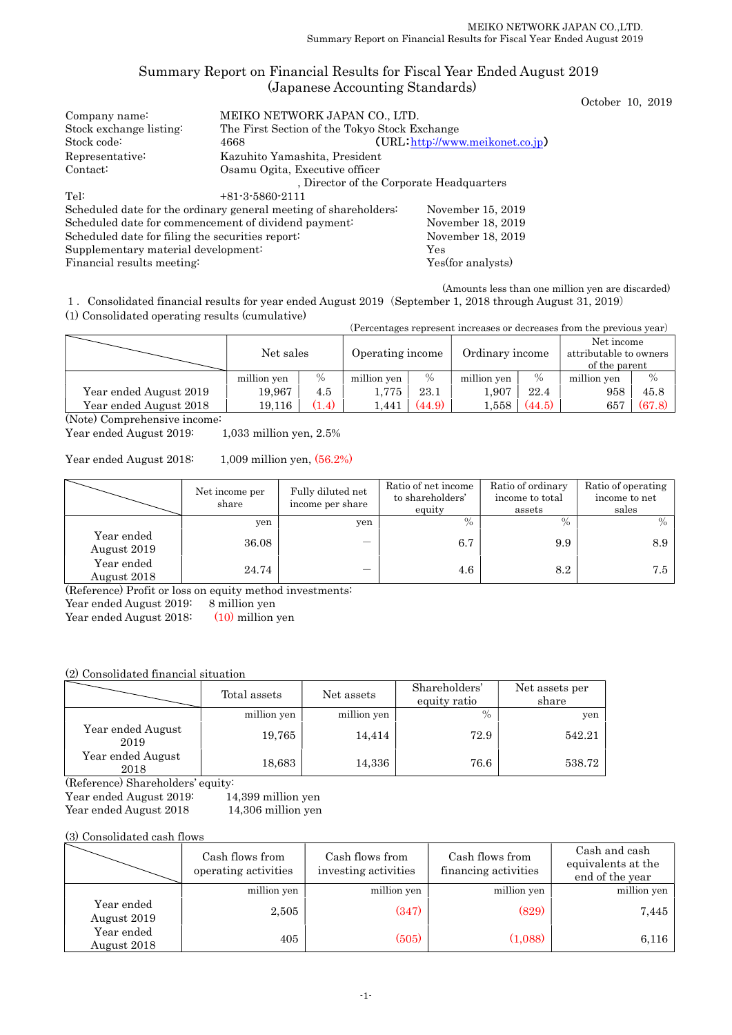# Summary Report on Financial Results for Fiscal Year Ended August 2019 (Japanese Accounting Standards)

October 10, 2019

| Company name:                                    | MEIKO NETWORK JAPAN CO., LTD.                                    |                                               |  |  |  |  |  |
|--------------------------------------------------|------------------------------------------------------------------|-----------------------------------------------|--|--|--|--|--|
| Stock exchange listing:                          |                                                                  | The First Section of the Tokyo Stock Exchange |  |  |  |  |  |
| Stock code:                                      | 4668                                                             | (URL: http://www.meikonet.co.jp)              |  |  |  |  |  |
| Representative:                                  | Kazuhito Yamashita, President                                    |                                               |  |  |  |  |  |
| Contact:                                         | Osamu Ogita, Executive officer                                   |                                               |  |  |  |  |  |
|                                                  | Director of the Corporate Headquarters                           |                                               |  |  |  |  |  |
| Tel:                                             | $+81-3-5860-2111$                                                |                                               |  |  |  |  |  |
|                                                  | Scheduled date for the ordinary general meeting of shareholders: | November 15, 2019                             |  |  |  |  |  |
|                                                  | Scheduled date for commencement of dividend payment:             | November 18, 2019                             |  |  |  |  |  |
| Scheduled date for filing the securities report: |                                                                  | November 18, 2019                             |  |  |  |  |  |
| Supplementary material development:              |                                                                  | Yes                                           |  |  |  |  |  |
| Yes (for analysts)<br>Financial results meeting: |                                                                  |                                               |  |  |  |  |  |

(Amounts less than one million yen are discarded)

1.Consolidated financial results for year ended August 2019(September 1, 2018 through August 31, 2019) (1) Consolidated operating results (cumulative)

(Percentages represent increases or decreases from the previous year)

|                        | Net sales   |       | Operating income |               | Ordinary income |        | Net income<br>attributable to owners<br>of the parent |        |
|------------------------|-------------|-------|------------------|---------------|-----------------|--------|-------------------------------------------------------|--------|
|                        | million yen | $\%$  | million yen      | $\frac{0}{0}$ | million yen     | $\%$   | million yen                                           | $\%$   |
| Year ended August 2019 | 19,967      | 4.5   | 1,775            | 23.1          | 1,907           | 22.4   | 958                                                   | 45.8   |
| Year ended August 2018 | 19,116      | (1.4) | 1.441            | (44.9)        | 1.558           | (44.5) | 657                                                   | (67.8) |

(Note) Comprehensive income:

Year ended August 2019: 1,033 million yen, 2.5%

Year ended August 2018: 1,009 million yen, (56.2%)

|                           | Net income per<br>share | Fully diluted net<br>income per share | Ratio of net income<br>to shareholders'<br>equity | Ratio of ordinary<br>income to total<br>assets | Ratio of operating<br>income to net<br>sales |
|---------------------------|-------------------------|---------------------------------------|---------------------------------------------------|------------------------------------------------|----------------------------------------------|
|                           | yen                     | yen                                   | $\%$                                              | $\%$                                           | $\%$                                         |
| Year ended<br>August 2019 | 36.08                   |                                       | 6.7                                               | 9.9                                            | 8.9                                          |
| Year ended<br>August 2018 | 24.74                   |                                       | 4.6                                               | 8.2                                            | 7.5                                          |

(Reference) Profit or loss on equity method investments:

Year ended August 2019: 8 million yen

Year ended August 2018: (10) million yen

### (2) Consolidated financial situation

|                           | Total assets | Net assets  | Shareholders'<br>equity ratio | Net assets per<br>share |
|---------------------------|--------------|-------------|-------------------------------|-------------------------|
|                           | million yen  | million yen | $\%$                          | yen                     |
| Year ended August<br>2019 | 19,765       | 14,414      | 72.9                          | 542.21                  |
| Year ended August<br>2018 | 18,683       | 14,336      | 76.6                          | 538.72                  |

(Reference) Shareholders' equity:

Year ended August 2019: 14,399 million yen

Year ended August 2018 14,306 million yen

(3) Consolidated cash flows

|                           | Cash flows from<br>operating activities | Cash flows from<br>investing activities | Cash flows from<br>financing activities | Cash and cash<br>equivalents at the<br>end of the year |
|---------------------------|-----------------------------------------|-----------------------------------------|-----------------------------------------|--------------------------------------------------------|
|                           | million yen                             | million yen                             | million yen                             | million yen                                            |
| Year ended<br>August 2019 | 2,505                                   | (347)                                   | (829)                                   | 7,445                                                  |
| Year ended<br>August 2018 | 405                                     | (505)                                   | (1,088)                                 | 6,116                                                  |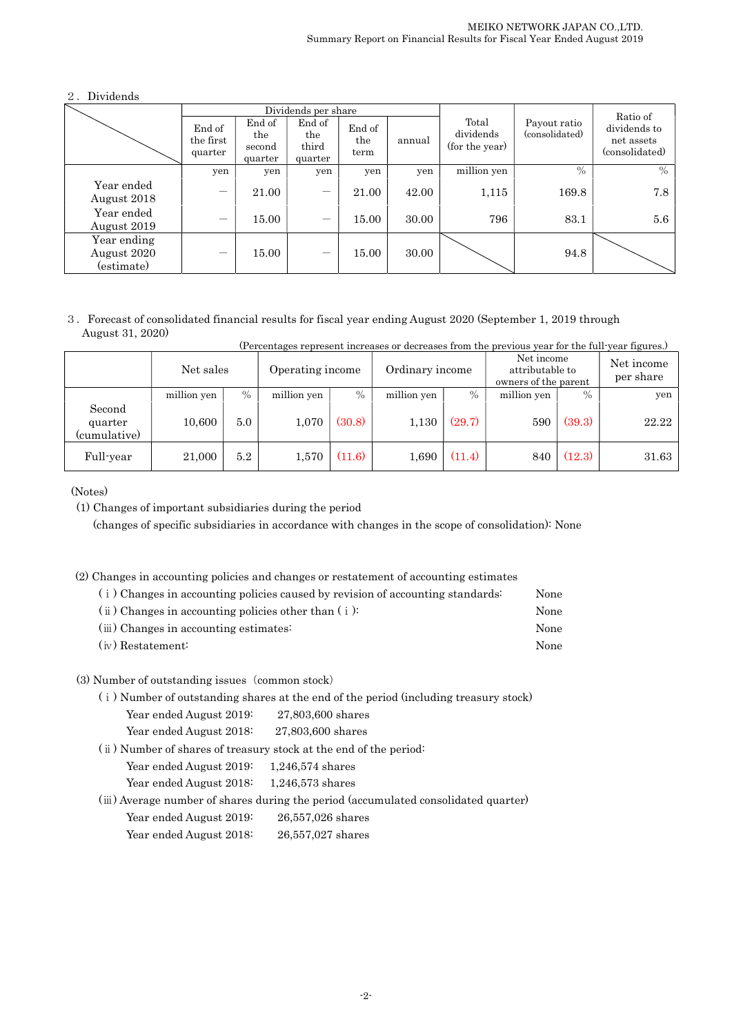## 2.Dividends

|                                          | Dividends per share                                                                                                                |       |        |                                      |                                |                                              |       | Ratio of |
|------------------------------------------|------------------------------------------------------------------------------------------------------------------------------------|-------|--------|--------------------------------------|--------------------------------|----------------------------------------------|-------|----------|
|                                          | End of<br>End of<br>End of<br>End of<br>the<br>the<br>the first<br>the<br>third<br>second<br>quarter<br>term<br>quarter<br>quarter |       | annual | Total<br>dividends<br>(for the year) | Payout ratio<br>(consolidated) | dividends to<br>net assets<br>(consolidated) |       |          |
|                                          | yen                                                                                                                                | yen   | yen    | yen                                  | yen                            | million yen                                  | $\%$  | $\%$     |
| Year ended<br>August 2018                | $\overline{\phantom{m}}$                                                                                                           | 21.00 |        | 21.00                                | 42.00                          | 1,115                                        | 169.8 | 7.8      |
| Year ended<br>August 2019                |                                                                                                                                    | 15.00 | —      | 15.00                                | 30.00                          | 796                                          | 83.1  | 5.6      |
| Year ending<br>August 2020<br>(estimate) | $\qquad \qquad \longleftarrow$                                                                                                     | 15.00 | —      | 15.00                                | 30.00                          |                                              | 94.8  |          |

3.Forecast of consolidated financial results for fiscal year ending August 2020 (September 1, 2019 through August 31, 2020) (Percentages represent increases or decreases from the previous year for the full-year figures.)

|                                   | Net sales   |      | Operating income |        | Ordinary income |        | Net income<br>attributable to<br>owners of the parent |               | $\alpha$ or original control into the capture of a correction of the set of the $\beta$ and $\alpha$ in $\beta$ and $\alpha$ in $\beta$<br>Net income<br>per share |
|-----------------------------------|-------------|------|------------------|--------|-----------------|--------|-------------------------------------------------------|---------------|--------------------------------------------------------------------------------------------------------------------------------------------------------------------|
|                                   | million yen | $\%$ | million yen      | $\%$   | million yen     | $\%$   | million yen                                           | $\frac{0}{0}$ | yen                                                                                                                                                                |
| Second<br>quarter<br>(cumulative) | 10,600      | 5.0  | 1,070            | (30.8) | 1,130           | (29.7) | 590                                                   | (39.3)        | 22.22                                                                                                                                                              |
| Full-year                         | 21,000      | 5.2  | 1,570            | (11.6) | 1,690           | (11.4) | 840                                                   | (12.3)        | 31.63                                                                                                                                                              |

(Notes)

(1) Changes of important subsidiaries during the period

(changes of specific subsidiaries in accordance with changes in the scope of consolidation): None

(2) Changes in accounting policies and changes or restatement of accounting estimates

| (i) Changes in accounting policies caused by revision of accounting standards: | None |
|--------------------------------------------------------------------------------|------|
| $(i)$ Changes in accounting policies other than $(i)$ :                        | None |
| (iii) Changes in accounting estimates:                                         | None |
| (iv) Restatement:                                                              | None |

## (3) Number of outstanding issues (common stock)

(ⅰ) Number of outstanding shares at the end of the period (including treasury stock)

Year ended August 2019: 27,803,600 shares

Year ended August 2018: 27,803,600 shares

(ⅱ) Number of shares of treasury stock at the end of the period:

Year ended August 2019: 1,246,574 shares

Year ended August 2018: 1,246,573 shares

(ⅲ) Average number of shares during the period (accumulated consolidated quarter)

Year ended August 2019: 26,557,026 shares

Year ended August 2018: 26,557,027 shares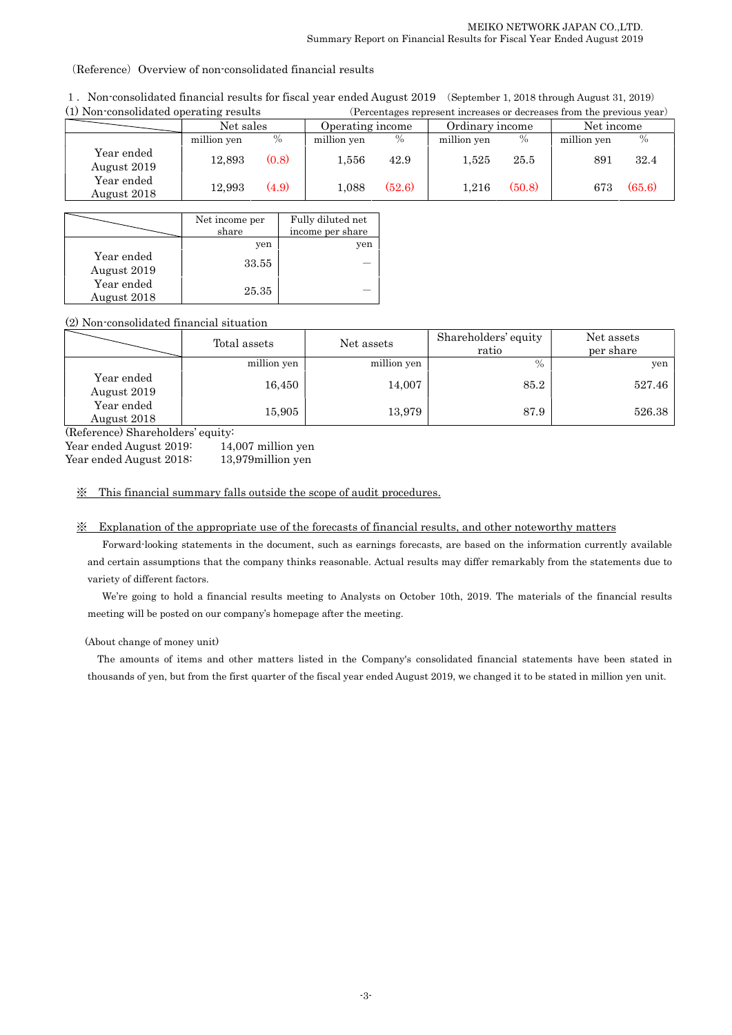(Reference) Overview of non-consolidated financial results

| 1. Non-consolidated financial results for fiscal year ended August 2019 (September 1, 2018 through August 31, 2019) |                                                                       |
|---------------------------------------------------------------------------------------------------------------------|-----------------------------------------------------------------------|
| (1) Non-consolidated operating results                                                                              | (Percentages represent increases or decreases from the previous year) |

|                           |             |       | $\mathcal{L}$ or operating the result of the compact of the compact that the set of the set $\mathcal{L}$ |        |                 |        |             |        |  |
|---------------------------|-------------|-------|-----------------------------------------------------------------------------------------------------------|--------|-----------------|--------|-------------|--------|--|
|                           | Net sales   |       | Operating income                                                                                          |        | Ordinary income |        | Net income  |        |  |
|                           | million yen | $\%$  | million yen                                                                                               | $\%$   | million yen     | $\%$   | million yen |        |  |
| Year ended<br>August 2019 | 12,893      | (0.8) | $1.556\,$                                                                                                 | 42.9   | 1.525           | 25.5   | 891         | 32.4   |  |
| Year ended<br>August 2018 | 12,993      | (4.9) | 1.088                                                                                                     | (52.6) | 1.216           | (50.8) | 673         | (65.6) |  |

|                           | Net income per<br>share | Fully diluted net<br>income per share |
|---------------------------|-------------------------|---------------------------------------|
|                           | yen                     | ven                                   |
| Year ended<br>August 2019 | 33.55                   |                                       |
| Year ended<br>August 2018 | 25.35                   |                                       |

## (2) Non-consolidated financial situation

|                           | Total assets | Net assets  | Shareholders' equity<br>ratio | Net assets<br>per share |
|---------------------------|--------------|-------------|-------------------------------|-------------------------|
|                           | million yen  | million yen | $\%$                          | yen                     |
| Year ended<br>August 2019 | 16,450       | 14,007      | 85.2                          | 527.46                  |
| Year ended<br>August 2018 | 15,905       | 13,979      | 87.9                          | 526.38                  |

(Reference) Shareholders' equity:

Year ended August 2019: 14,007 million yen

Year ended August 2018: 13,979 million yen

## ※ This financial summary falls outside the scope of audit procedures.

## ※ Explanation of the appropriate use of the forecasts of financial results, and other noteworthy matters

Forward-looking statements in the document, such as earnings forecasts, are based on the information currently available and certain assumptions that the company thinks reasonable. Actual results may differ remarkably from the statements due to variety of different factors.

We're going to hold a financial results meeting to Analysts on October 10th, 2019. The materials of the financial results meeting will be posted on our company's homepage after the meeting.

### (About change of money unit)

The amounts of items and other matters listed in the Company's consolidated financial statements have been stated in thousands of yen, but from the first quarter of the fiscal year ended August 2019, we changed it to be stated in million yen unit.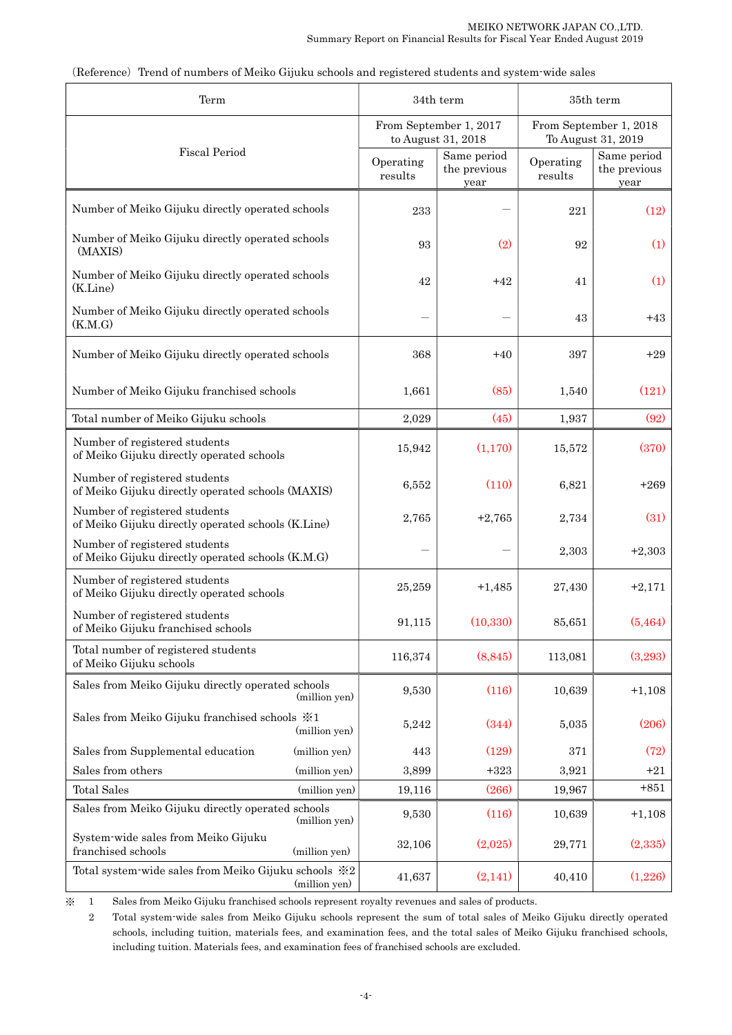| Term                                                                                |                      | 34th term                                    | 35th term                                    |                                     |          |  |
|-------------------------------------------------------------------------------------|----------------------|----------------------------------------------|----------------------------------------------|-------------------------------------|----------|--|
|                                                                                     |                      | From September 1, 2017<br>to August 31, 2018 | From September 1, 2018<br>To August 31, 2019 |                                     |          |  |
| <b>Fiscal Period</b>                                                                | Operating<br>results | Same period<br>the previous<br>year          | Operating<br>results                         | Same period<br>the previous<br>year |          |  |
| Number of Meiko Gijuku directly operated schools                                    |                      | 233                                          |                                              | 221                                 | (12)     |  |
| Number of Meiko Gijuku directly operated schools<br>(MAXIS)                         |                      | 93                                           | (2)                                          | 92                                  | (1)      |  |
| Number of Meiko Gijuku directly operated schools<br>(K.Line)                        |                      | 42                                           | $+42$                                        | 41                                  | (1)      |  |
| Number of Meiko Gijuku directly operated schools<br>(K.M.G)                         |                      |                                              |                                              | 43                                  | $+43$    |  |
| Number of Meiko Gijuku directly operated schools                                    |                      | 368                                          | $+40$                                        | 397                                 | $+29$    |  |
| Number of Meiko Gijuku franchised schools                                           |                      | 1,661                                        | (85)                                         | 1,540                               | (121)    |  |
| Total number of Meiko Gijuku schools                                                |                      | 2,029                                        | (45)                                         | 1,937                               | (92)     |  |
| Number of registered students<br>of Meiko Gijuku directly operated schools          |                      | 15,942                                       | (1,170)                                      | 15,572                              | (370)    |  |
| Number of registered students<br>of Meiko Gijuku directly operated schools (MAXIS)  |                      | 6,552                                        | (110)                                        | 6,821                               | $+269$   |  |
| Number of registered students<br>of Meiko Gijuku directly operated schools (K.Line) |                      | 2,765                                        | $+2,765$                                     | 2,734                               | (31)     |  |
| Number of registered students<br>of Meiko Gijuku directly operated schools (K.M.G)  |                      |                                              |                                              | 2,303                               | $+2,303$ |  |
| Number of registered students<br>of Meiko Gijuku directly operated schools          |                      | 25,259                                       | $+1,485$                                     | 27,430                              | $+2,171$ |  |
| Number of registered students<br>of Meiko Gijuku franchised schools                 |                      | 91,115                                       | (10, 330)                                    | 85,651                              | (5, 464) |  |
| Total number of registered students<br>of Meiko Gijuku schools                      |                      | 116,374                                      | (8, 845)                                     | 113,081                             | (3,293)  |  |
| Sales from Meiko Gijuku directly operated schools                                   | (million yen)        | 9,530                                        | (116)                                        | 10,639                              | $+1,108$ |  |
| Sales from Meiko Gijuku franchised schools $\frac{1}{2}$ 1                          | (million yen)        | 5,242                                        | (344)                                        | 5,035                               | (206)    |  |
| Sales from Supplemental education                                                   | (million yen)        | 443                                          | (129)                                        | 371                                 | (72)     |  |
| Sales from others                                                                   | (million yen)        | 3,899                                        | $+323$                                       | 3,921                               | $+21$    |  |
| <b>Total Sales</b>                                                                  | (million yen)        | 19,116                                       | (266)                                        | 19,967                              | $+851$   |  |
| Sales from Meiko Gijuku directly operated schools                                   | (million yen)        | 9,530                                        | (116)                                        | 10,639                              | $+1,108$ |  |
| System-wide sales from Meiko Gijuku<br>franchised schools                           | (million yen)        | 32,106                                       | (2,025)                                      | 29,771                              | (2,335)  |  |
| Total system wide sales from Meiko Gijuku schools $\divideontimes 2$                | (million yen)        | 41,637                                       | (2,141)                                      | 40,410                              | (1,226)  |  |

(Reference) Trend of numbers of Meiko Gijuku schools and registered students and system-wide sales

※ 1 Sales from Meiko Gijuku franchised schools represent royalty revenues and sales of products.

 2 Total system-wide sales from Meiko Gijuku schools represent the sum of total sales of Meiko Gijuku directly operated schools, including tuition, materials fees, and examination fees, and the total sales of Meiko Gijuku franchised schools, including tuition. Materials fees, and examination fees of franchised schools are excluded.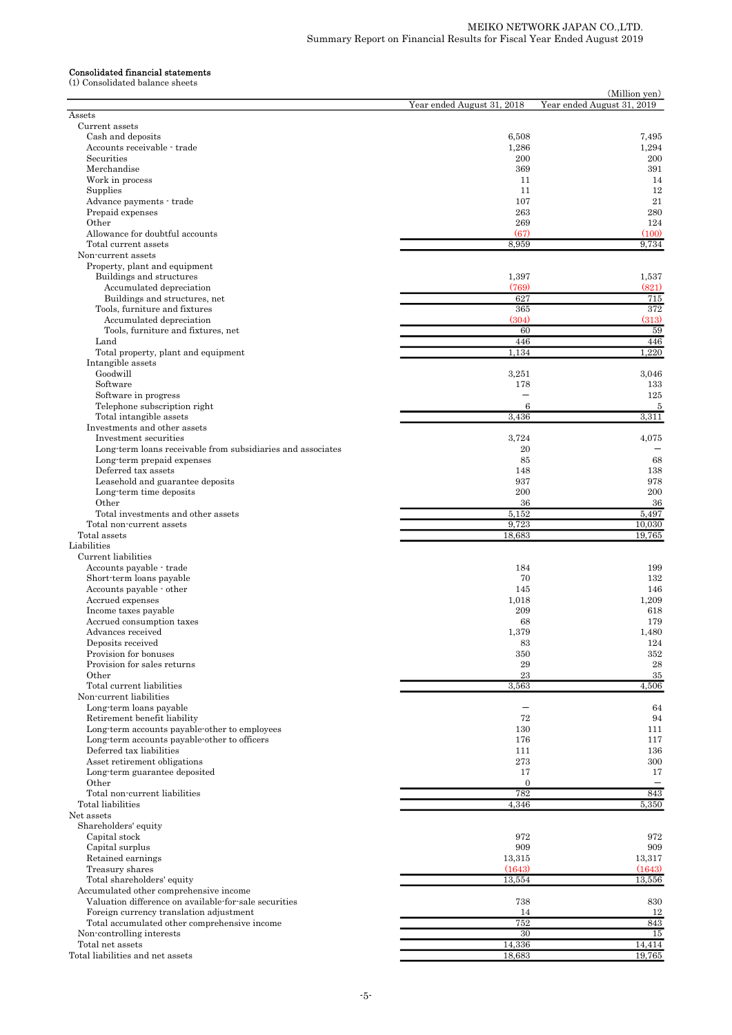#### Consolidated financial statements

(1) Consolidated balance sheets

| Consondated balance sheets                                               |                            | (Million yen)              |
|--------------------------------------------------------------------------|----------------------------|----------------------------|
|                                                                          | Year ended August 31, 2018 | Year ended August 31, 2019 |
| Assets                                                                   |                            |                            |
| Current assets<br>Cash and deposits                                      | 6,508                      | 7,495                      |
| Accounts receivable - trade                                              | 1,286                      | 1,294                      |
| Securities                                                               | 200                        | 200                        |
| Merchandise                                                              | 369                        | 391                        |
| Work in process                                                          | 11                         | 14                         |
| Supplies                                                                 | 11                         | 12                         |
| Advance payments - trade                                                 | 107                        | 21                         |
| Prepaid expenses<br>Other                                                | 263<br>269                 | 280<br>124                 |
| Allowance for doubtful accounts                                          | (67)                       | (100)                      |
| Total current assets                                                     | 8,959                      | 9,734                      |
| Non-current assets                                                       |                            |                            |
| Property, plant and equipment                                            |                            |                            |
| Buildings and structures                                                 | 1,397                      | 1,537                      |
| Accumulated depreciation                                                 | (769)                      | (821)                      |
| Buildings and structures, net                                            | 627                        | 715                        |
| Tools, furniture and fixtures                                            | 365                        | 372                        |
| Accumulated depreciation<br>Tools, furniture and fixtures, net           | (304)<br>60                | (313)<br>59                |
| Land                                                                     | 446                        | 446                        |
| Total property, plant and equipment                                      | 1,134                      | 1,220                      |
| Intangible assets                                                        |                            |                            |
| Goodwill                                                                 | 3,251                      | 3,046                      |
| Software                                                                 | 178                        | 133                        |
| Software in progress                                                     | ÷                          | 125                        |
| Telephone subscription right                                             | 6                          | 5                          |
| Total intangible assets                                                  | 3.436                      | 3,311                      |
| Investments and other assets<br>Investment securities                    | 3,724                      | 4,075                      |
| Long-term loans receivable from subsidiaries and associates              | 20                         |                            |
| Long-term prepaid expenses                                               | 85                         | 68                         |
| Deferred tax assets                                                      | 148                        | 138                        |
| Leasehold and guarantee deposits                                         | 937                        | 978                        |
| Long-term time deposits                                                  | 200                        | 200                        |
| Other                                                                    | 36                         | 36                         |
| Total investments and other assets                                       | 5,152                      | 5,497                      |
| Total non-current assets                                                 | 9,723                      | 10,030                     |
| Total assets<br>Liabilities                                              | 18,683                     | 19,765                     |
| Current liabilities                                                      |                            |                            |
| Accounts payable trade                                                   | 184                        | 199                        |
| Short-term loans payable                                                 | 70                         | 132                        |
| Accounts payable - other                                                 | 145                        | 146                        |
| Accrued expenses                                                         | 1,018                      | 1,209                      |
| Income taxes payable                                                     | 209                        | 618                        |
| Accrued consumption taxes                                                | 68                         | 179                        |
| Advances received                                                        | 1,379                      | 1,480                      |
| Deposits received<br>Provision for bonuses                               | 83<br>350                  | 124<br>352                 |
| Provision for sales returns                                              | 29                         | 28                         |
| Other                                                                    | 23                         | 35                         |
| Total current liabilities                                                | 3,563                      | 4,506                      |
| Non-current liabilities                                                  |                            |                            |
| Long-term loans payable                                                  |                            | 64                         |
| Retirement benefit liability                                             | 72                         | 94                         |
| Long-term accounts payable-other to employees                            | 130                        | 111                        |
| Long-term accounts payable-other to officers<br>Deferred tax liabilities | 176                        | 117                        |
| Asset retirement obligations                                             | 111<br>273                 | 136<br>300                 |
| Long-term guarantee deposited                                            | 17                         | 17                         |
| Other                                                                    | $\overline{0}$             |                            |
| Total non-current liabilities                                            | 782                        | 843                        |
| Total liabilities                                                        | 4,346                      | 5,350                      |
| Net assets                                                               |                            |                            |
| Shareholders' equity                                                     |                            |                            |
| Capital stock                                                            | 972                        | 972                        |
| Capital surplus                                                          | 909                        | 909                        |
| Retained earnings                                                        | 13,315<br>(1643)           | 13,317<br>(1643)           |
| Treasury shares<br>Total shareholders' equity                            | 13,554                     | 13,556                     |
| Accumulated other comprehensive income                                   |                            |                            |
| Valuation difference on available for sale securities                    | 738                        | 830                        |
| Foreign currency translation adjustment                                  | 14                         | 12                         |
| Total accumulated other comprehensive income                             | 752                        | 843                        |
| Non-controlling interests                                                | 30                         | 15                         |
| Total net assets                                                         | 14,336                     | 14,414                     |
| Total liabilities and net assets                                         | 18,683                     | 19,765                     |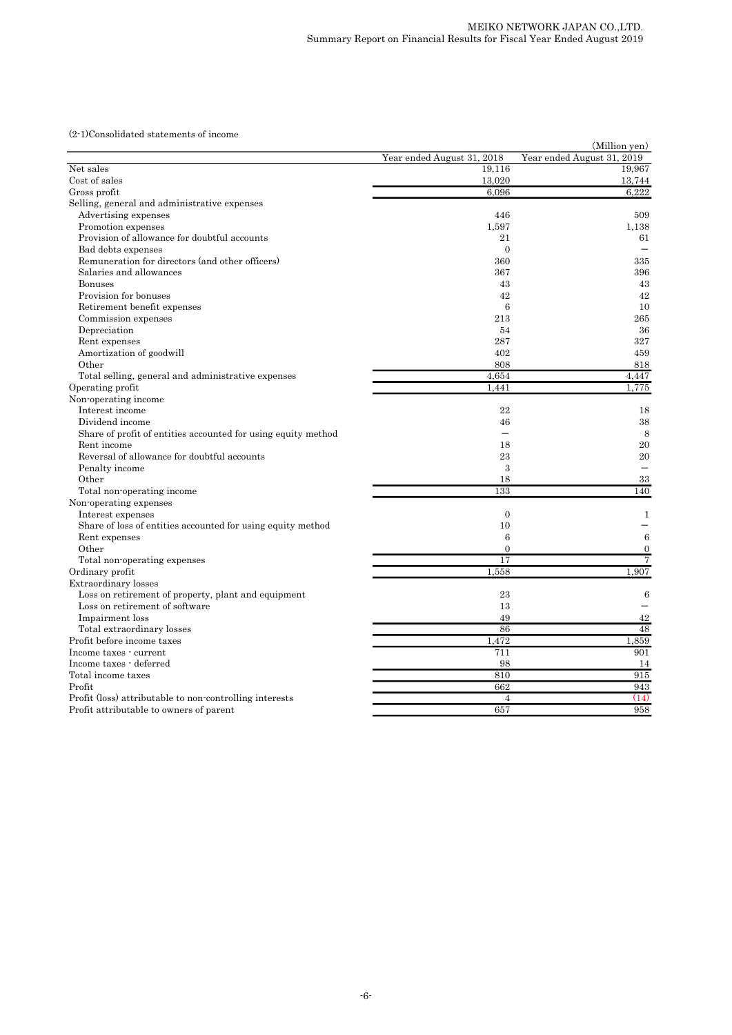(2-1)Consolidated statements of income

|                                                               | (Million yen)              |                            |  |  |  |  |
|---------------------------------------------------------------|----------------------------|----------------------------|--|--|--|--|
|                                                               | Year ended August 31, 2018 | Year ended August 31, 2019 |  |  |  |  |
| Net sales                                                     | 19,116                     | 19,967                     |  |  |  |  |
| Cost of sales                                                 | 13,020                     | 13,744                     |  |  |  |  |
| Gross profit                                                  | 6,096                      | 6,222                      |  |  |  |  |
| Selling, general and administrative expenses                  |                            |                            |  |  |  |  |
| Advertising expenses                                          | 446                        | 509                        |  |  |  |  |
| Promotion expenses                                            | 1,597                      | 1,138                      |  |  |  |  |
| Provision of allowance for doubtful accounts                  | 21                         | 61                         |  |  |  |  |
| Bad debts expenses                                            | $\Omega$                   |                            |  |  |  |  |
| Remuneration for directors (and other officers)               | 360                        | 335                        |  |  |  |  |
| Salaries and allowances                                       | 367                        | 396                        |  |  |  |  |
| <b>Bonuses</b>                                                | 43                         | 43                         |  |  |  |  |
| Provision for bonuses                                         | 42                         | 42                         |  |  |  |  |
| Retirement benefit expenses                                   | $\boldsymbol{6}$           | 10                         |  |  |  |  |
| Commission expenses                                           | 213                        | 265                        |  |  |  |  |
| Depreciation                                                  | 54                         | 36                         |  |  |  |  |
| Rent expenses                                                 | 287                        | 327                        |  |  |  |  |
| Amortization of goodwill                                      | 402                        | 459                        |  |  |  |  |
| Other                                                         | 808                        | 818                        |  |  |  |  |
| Total selling, general and administrative expenses            | 4,654                      | 4.447                      |  |  |  |  |
| Operating profit                                              | 1,441                      | 1,775                      |  |  |  |  |
| Non-operating income                                          |                            |                            |  |  |  |  |
| Interest income                                               | 22                         | 18                         |  |  |  |  |
| Dividend income                                               | 46                         | 38                         |  |  |  |  |
| Share of profit of entities accounted for using equity method |                            | 8                          |  |  |  |  |
| Rent income                                                   | 18                         | 20                         |  |  |  |  |
| Reversal of allowance for doubtful accounts                   | 23                         | 20                         |  |  |  |  |
| Penalty income                                                | 3                          | $\overline{\phantom{0}}$   |  |  |  |  |
| Other                                                         | 18                         | 33                         |  |  |  |  |
| Total non-operating income                                    | 133                        | 140                        |  |  |  |  |
| Non-operating expenses                                        |                            |                            |  |  |  |  |
| Interest expenses                                             | $\overline{0}$             | 1                          |  |  |  |  |
| Share of loss of entities accounted for using equity method   | 10                         |                            |  |  |  |  |
| Rent expenses                                                 | $\boldsymbol{6}$           | 6                          |  |  |  |  |
| Other                                                         | $\theta$                   | $\mathbf{0}$               |  |  |  |  |
| Total non-operating expenses                                  | 17                         | $\overline{7}$             |  |  |  |  |
| Ordinary profit                                               | 1,558                      | 1,907                      |  |  |  |  |
| <b>Extraordinary</b> losses                                   |                            |                            |  |  |  |  |
| Loss on retirement of property, plant and equipment           | 23                         | 6                          |  |  |  |  |
| Loss on retirement of software                                | 13                         |                            |  |  |  |  |
| Impairment loss                                               | 49                         | 42                         |  |  |  |  |
|                                                               | 86                         | 48                         |  |  |  |  |
| Total extraordinary losses<br>Profit before income taxes      |                            | 1,859                      |  |  |  |  |
|                                                               | 1,472                      | 901                        |  |  |  |  |
| Income taxes - current                                        | 711                        |                            |  |  |  |  |
| Income taxes - deferred                                       | 98                         | 14                         |  |  |  |  |
| Total income taxes                                            | 810                        | 915                        |  |  |  |  |
| Profit                                                        | 662                        | 943                        |  |  |  |  |
| Profit (loss) attributable to non-controlling interests       | $\overline{4}$             | (14)                       |  |  |  |  |
| Profit attributable to owners of parent                       | 657                        | 958                        |  |  |  |  |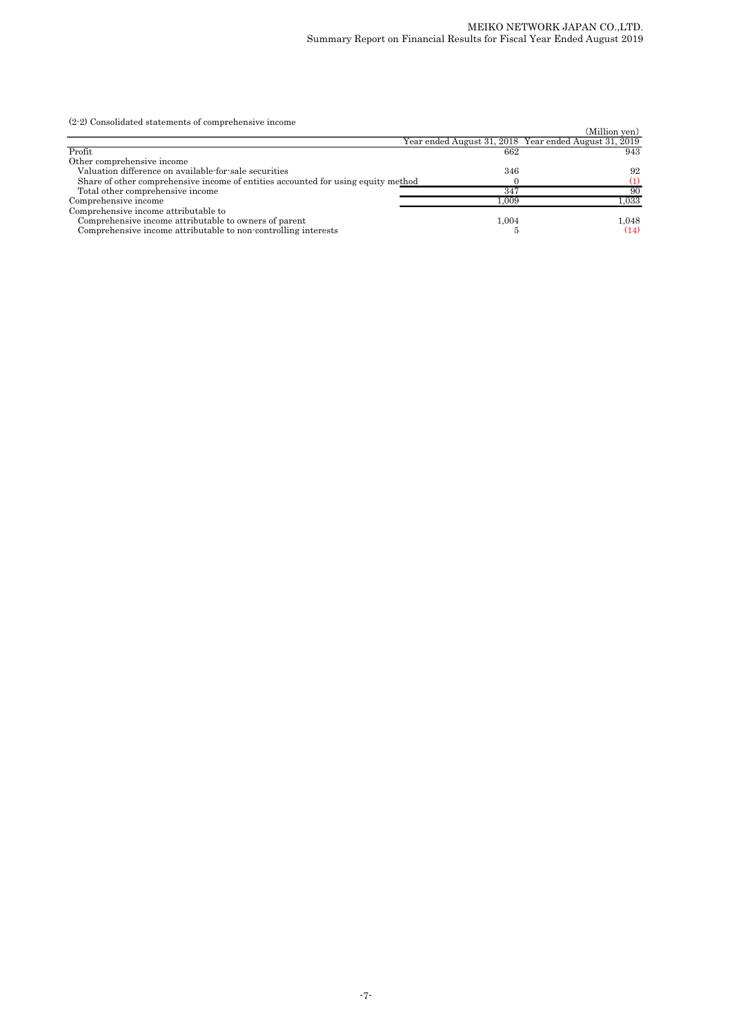(2-2) Consolidated statements of comprehensive income

| (2-2) Consolidated statements of comprehensive income                             |       |                                                       |
|-----------------------------------------------------------------------------------|-------|-------------------------------------------------------|
|                                                                                   |       | (Million yen)                                         |
|                                                                                   |       | Year ended August 31, 2018 Year ended August 31, 2019 |
| Profit                                                                            | 662   | 943                                                   |
| Other comprehensive income                                                        |       |                                                       |
| Valuation difference on available for sale securities                             | 346   | 92                                                    |
| Share of other comprehensive income of entities accounted for using equity method |       | (1)                                                   |
| Total other comprehensive income                                                  | 347   | 90                                                    |
| Comprehensive income                                                              | 1.009 | 1.033                                                 |
| Comprehensive income attributable to                                              |       |                                                       |
| Comprehensive income attributable to owners of parent                             | 1.004 | 1.048                                                 |
| Comprehensive income attributable to non-controlling interests                    |       | (14)                                                  |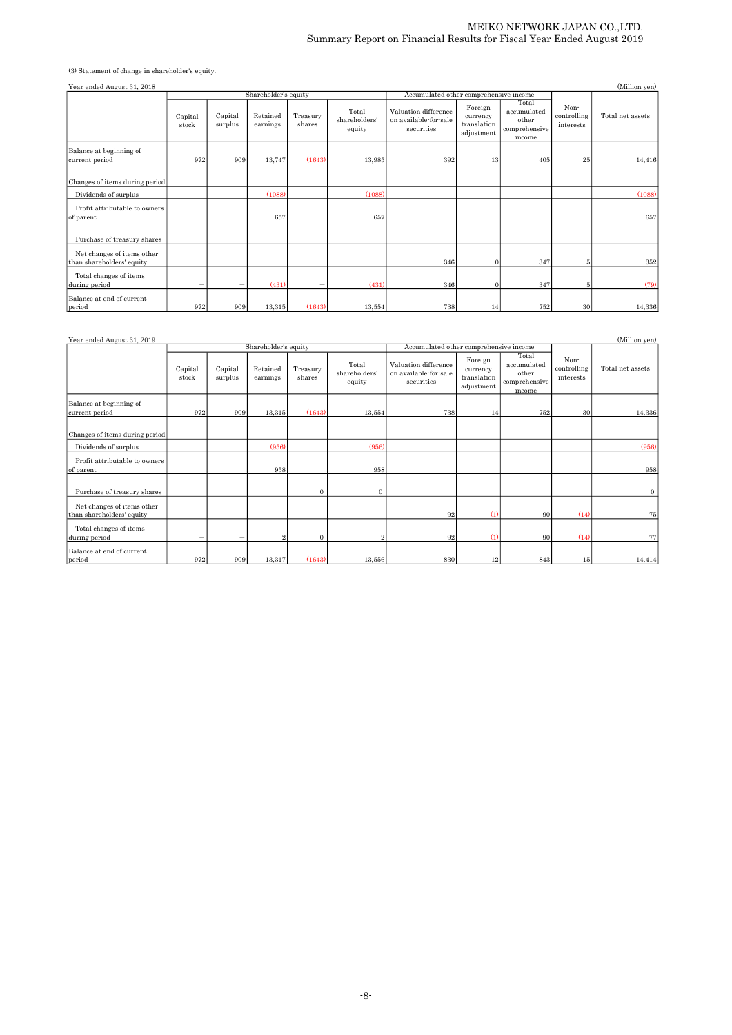#### MEIKO NETWORK JAPAN CO.,LTD. Summary Report on Financial Results for Fiscal Year Ended August 2019

(3) Statement of change in shareholder's equity.

| Year ended August 31, 2018                              |                  |                                                                           |                      |                    |                                  |                                                             |                                                  |                                                          |                                  | (Million yen)    |  |
|---------------------------------------------------------|------------------|---------------------------------------------------------------------------|----------------------|--------------------|----------------------------------|-------------------------------------------------------------|--------------------------------------------------|----------------------------------------------------------|----------------------------------|------------------|--|
|                                                         |                  |                                                                           | Shareholder's equity |                    |                                  | Accumulated other comprehensive income                      |                                                  |                                                          |                                  |                  |  |
|                                                         | Capital<br>stock | Capital<br>surplus                                                        | Retained<br>earnings | Treasury<br>shares | Total<br>shareholders'<br>equity | Valuation difference<br>on available-for-sale<br>securities | Foreign<br>currency<br>translation<br>adjustment | Total<br>accumulated<br>other<br>comprehensive<br>income | Non-<br>controlling<br>interests | Total net assets |  |
| Balance at beginning of<br>current period               | 972              | 909                                                                       | 13,747               | (1643)             | 13,985                           | 392                                                         | 13                                               | 405                                                      | 25                               | 14,416           |  |
| Changes of items during period                          |                  |                                                                           |                      |                    |                                  |                                                             |                                                  |                                                          |                                  |                  |  |
| Dividends of surplus                                    |                  |                                                                           | (1088)               |                    | (1088)                           |                                                             |                                                  |                                                          |                                  | (1088)           |  |
| Profit attributable to owners<br>of parent              |                  |                                                                           | 657                  |                    | 657                              |                                                             |                                                  |                                                          |                                  | 657              |  |
| Purchase of treasury shares                             |                  |                                                                           |                      |                    |                                  |                                                             |                                                  |                                                          |                                  |                  |  |
| Net changes of items other<br>than shareholders' equity |                  |                                                                           |                      |                    |                                  | 346                                                         | $\Omega$                                         | 347                                                      | 5 <sup>1</sup>                   | 352              |  |
| Total changes of items<br>during period                 | -                | $\hspace{1.0cm} \rule{1.5cm}{0.15cm} \hspace{1.0cm} \rule{1.5cm}{0.15cm}$ | (431)                |                    | (431)                            | 346                                                         | $\mathbf{0}$                                     | 347                                                      | 5 <sup>1</sup>                   | (79)             |  |
| Balance at end of current<br>period                     | 972              | 909                                                                       | 13,315               | (1643)             | 13,554                           | 738                                                         | 14                                               | 752                                                      | 30 <sup>°</sup>                  | 14,336           |  |

| Year ended August 31, 2019                              |                  |                    |                      |                    |                                  |                                                             |                                                  |                                                          |                                  | (Million yen)    |
|---------------------------------------------------------|------------------|--------------------|----------------------|--------------------|----------------------------------|-------------------------------------------------------------|--------------------------------------------------|----------------------------------------------------------|----------------------------------|------------------|
|                                                         |                  |                    | Shareholder's equity |                    |                                  | Accumulated other comprehensive income                      |                                                  |                                                          |                                  |                  |
|                                                         | Capital<br>stock | Capital<br>surplus | Retained<br>earnings | Treasury<br>shares | Total<br>shareholders'<br>equity | Valuation difference<br>on available-for-sale<br>securities | Foreign<br>currency<br>translation<br>adjustment | Total<br>accumulated<br>other<br>comprehensive<br>income | Non-<br>controlling<br>interests | Total net assets |
| Balance at beginning of<br>current period               | 972              | 909                | 13,315               | (1643)             | 13,554                           | 738                                                         | 14                                               | 752                                                      | 30                               | 14,336           |
| Changes of items during period                          |                  |                    |                      |                    |                                  |                                                             |                                                  |                                                          |                                  |                  |
| Dividends of surplus                                    |                  |                    | (956)                |                    | (956)                            |                                                             |                                                  |                                                          |                                  | (956)            |
| Profit attributable to owners<br>of parent              |                  |                    | 958                  |                    | 958                              |                                                             |                                                  |                                                          |                                  | 958              |
| Purchase of treasury shares                             |                  |                    |                      | $\mathbf{0}$       | $\mathbf{0}$                     |                                                             |                                                  |                                                          |                                  | $\mathbf{0}$     |
| Net changes of items other<br>than shareholders' equity |                  |                    |                      |                    |                                  | 92                                                          | (1)                                              | 90                                                       | (14)                             | 75               |
| Total changes of items<br>during period                 |                  | -                  |                      | $\mathbf{0}$       |                                  | 92                                                          | (1)                                              | 90                                                       | (14)                             | 77               |
| Balance at end of current<br>period                     | 972              | 909                | 13,317               | (1643)             | 13,556                           | 830                                                         | 12                                               | 843                                                      | 15                               | 14,414           |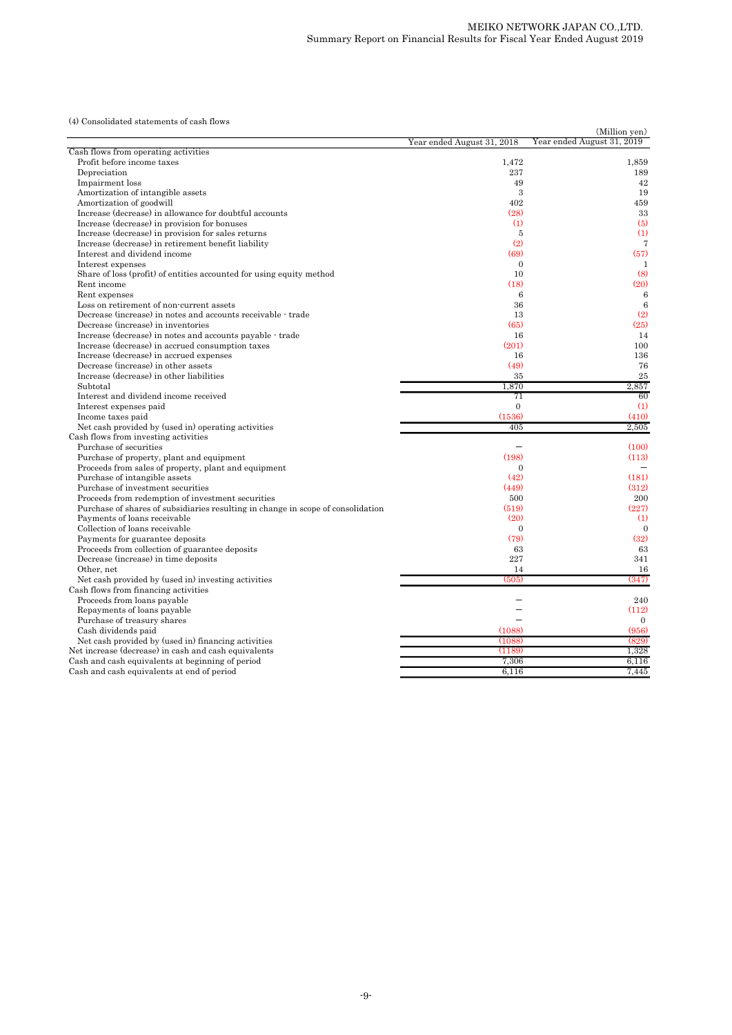(4) Consolidated statements of cash flows

| (4) Consolidated statements of cash flows                                        |                            | (Million yen)              |
|----------------------------------------------------------------------------------|----------------------------|----------------------------|
|                                                                                  | Year ended August 31, 2018 | Year ended August 31, 2019 |
| Cash flows from operating activities                                             |                            |                            |
| Profit before income taxes                                                       | 1,472                      | 1,859                      |
| Depreciation                                                                     | 237                        | 189                        |
| Impairment loss                                                                  | 49                         | 42                         |
| Amortization of intangible assets                                                | 3                          | 19                         |
| Amortization of goodwill                                                         | 402                        | 459                        |
| Increase (decrease) in allowance for doubtful accounts                           | (28)                       | 33                         |
| Increase (decrease) in provision for bonuses                                     | (1)                        | (5)                        |
| Increase (decrease) in provision for sales returns                               | 5                          | (1)                        |
| Increase (decrease) in retirement benefit liability                              | (2)                        | 7                          |
| Interest and dividend income                                                     | (69)                       | (57)                       |
| Interest expenses                                                                | $\mathbf{0}$               | 1                          |
| Share of loss (profit) of entities accounted for using equity method             | 10                         | (8)                        |
| Rent income                                                                      | (18)                       | (20)                       |
| Rent expenses                                                                    | 6                          | 6                          |
| Loss on retirement of non-current assets                                         | 36                         | $\boldsymbol{6}$           |
| Decrease (increase) in notes and accounts receivable - trade                     | 13                         | (2)                        |
| Decrease (increase) in inventories                                               | (65)                       | (25)                       |
| Increase (decrease) in notes and accounts payable - trade                        | 16                         | 14                         |
| Increase (decrease) in accrued consumption taxes                                 | (201)                      | 100                        |
|                                                                                  |                            | 136                        |
| Increase (decrease) in accrued expenses                                          | 16                         |                            |
| Decrease (increase) in other assets                                              | (49)                       | 76                         |
| Increase (decrease) in other liabilities                                         | 35                         | 25                         |
| Subtotal                                                                         | 1,870                      | 2,857                      |
| Interest and dividend income received                                            | 71                         | 60                         |
| Interest expenses paid                                                           | $\theta$                   | (1)                        |
| Income taxes paid                                                                | (1536)                     | (410)                      |
| Net cash provided by (used in) operating activities                              | 405                        | 2,505                      |
| Cash flows from investing activities                                             |                            |                            |
| Purchase of securities                                                           |                            | (100)                      |
| Purchase of property, plant and equipment                                        | (198)                      | (113)                      |
| Proceeds from sales of property, plant and equipment                             | $\Omega$                   |                            |
| Purchase of intangible assets                                                    | (42)                       | (181)                      |
| Purchase of investment securities                                                | (449)                      | (312)                      |
| Proceeds from redemption of investment securities                                | 500                        | 200                        |
| Purchase of shares of subsidiaries resulting in change in scope of consolidation | (519)                      | (227)                      |
| Payments of loans receivable                                                     | (20)                       | (1)                        |
| Collection of loans receivable                                                   | $\mathbf{0}$               | $\mathbf{0}$               |
| Payments for guarantee deposits                                                  | (79)                       | (32)                       |
| Proceeds from collection of guarantee deposits                                   | 63                         | 63                         |
| Decrease (increase) in time deposits                                             | 227                        | 341                        |
| Other, net                                                                       | 14                         | 16                         |
| Net cash provided by (used in) investing activities                              | (505)                      | (347)                      |
| Cash flows from financing activities                                             |                            |                            |
| Proceeds from loans payable                                                      |                            | 240                        |
| Repayments of loans payable                                                      |                            | (112)                      |
|                                                                                  |                            | $\mathbf{0}$               |
| Purchase of treasury shares                                                      |                            |                            |
| Cash dividends paid                                                              | (1088)                     | (956)                      |
| Net cash provided by (used in) financing activities                              | (1088)                     | (829)                      |
| Net increase (decrease) in cash and cash equivalents                             | (1189)                     | 1,328                      |
| Cash and cash equivalents at beginning of period                                 | 7,306                      | 6,116                      |
| Cash and cash equivalents at end of period                                       | 6,116                      | 7,445                      |